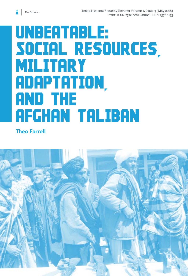# UNBEATABLE: Social Resources, **MILITARY** Adaptation, and the Afghan Taliban

### **Theo Farrell**

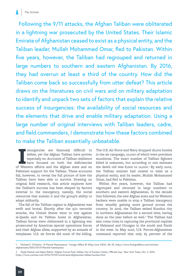Following the 9/11 attacks, the Afghan Taliban were obliterated in a lightning war prosecuted by the United States. Their Islamic Emirate of Afghanistan ceased to exist as a physical entity, and the Taliban leader, Mullah Mohammed Omar, fled to Pakistan. Within five years, however, the Taliban had regrouped and returned in large numbers to southern and eastern Afghanistan. By 2016, they had overrun at least a third of the country. How did the Taliban come back so successfully from utter defeat? This article draws on the literatures on civil wars and on military adaptation to identify and unpack two sets of factors that explain the relative success of insurgencies: the availability of social resources and the elements that drive and enable military adaptation. Using a large number of original interviews with Taliban leaders, cadre, and field commanders, I demonstrate how these factors combined to make the Taliban essentially unbeatable.

Insurgencies are famously difficult to defeat, yet the Afghan Taliban have proven especially so. Accounts of Taliban resilience have focused on both the deficiencies of Western efforts and the Afghan state and on nsurgencies are famously difficult to defeat, yet the Afghan Taliban have proven especially so. Accounts of Taliban resilience have focused on both the deficiencies Pakistani support for the Taliban. These accounts fail, however, to reveal the full picture of how the Taliban have been able to survive. Drawing on original field research, this article explores how the Taliban's success has been shaped by factors internal to the insurgency, namely, the social resources that sustain it and the group's ability to adapt militarily.

The fall of the Taliban regime in Afghanistan was swift and brutal. Shortly after the 9/11 terrorist attacks, the United States went to war against al-Qaeda and its Taliban hosts in Afghanistan. Taliban forces were obliterated in a lightning war prosecuted by American special operations forces and their Afghan allies, supported by an armada of warplanes. U.S. air forces did most of the killing.

The U.S. Air Force and Navy dropped 18,000 bombs in the air campaign, 10,000 of which were precision munitions. The exact number of Taliban fighters killed is unknown, but according to one estimate the death toll was 8,000 to 12,000.<sup>1</sup> By early 2002, the Taliban emirate had ceased to exist as a physical entity, and its leader, Mullah Mohammed Omar, had fled to Pakistan.

Within five years, however, the Taliban had regrouped and returned in large numbers to southern and eastern Afghanistan. In the decade that followed, the new Afghan state and its Western backers were unable to stop a Taliban insurgency from steadily gaining more ground across the country. In 2016, the Taliban seized Kunduz city in northern Afghanistan for a second time, having done so the year before as well.<sup>2</sup> The Taliban had also come close to capturing the provincial capitals of Helmand and Uruzgan in the south and Farah in the west. In May 2016, U.S. Forces-Afghanistan command reported that only 65 percent of the

<sup>1</sup> Michael E. O'Hanlon, "A Flawed Masterpiece," *Foreign Affairs* 81 (May/June 2002): 48, 55, https://www.foreignaffairs.com/articles/ afghanistan/2002-05-01/flawed-masterpiece.

<sup>2</sup> Mujib Mashal and Najim Rahim, "Afghan Forces Push Taliban Out of Kunduz Center, Officials Say," *New York Times*, Oct. 4, 2016, https://www.nytimes.com/2016/10/05/world/asia/afghanistan-taliban-kunduz.html.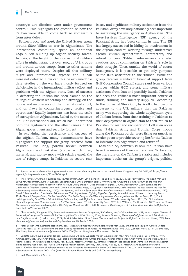country's 407 districts were under government control.3 This highlights the question of how the Taliban were able to come back so successfully from utter defeat.

Between 2001 and 2016, the United States spent around \$800 billion on war in Afghanistan. The international community spent an additional £240 billion building up Afghan security forces. In 2010, at the height of the international military effort in Afghanistan, just over 100,000 U.S. troops and around 40,000 troops from 50 other nations were deployed there. Despite all this military might and international largesse, the Taliban were not defeated. How can this be explained? To date, studies on the war have mostly focused on deficiencies in the international military effort and problems with the Afghan state. Lack of success in defeating the Taliban has been blamed on the failings of Western leadership and strategy, on the hubris and incoherence of the international effort, and on flaws in counterinsurgency tactics and operations.4 Equally important has been the scale of corruption in Afghanistan, fueled by the massive influx of international aid, which has undermined both the legitimacy and the effectiveness of the Afghan government and security forces.<sup>5</sup>

In explaining the persistence and success of the Afghan Taliban, many commentators have highlighted the support the group received from Pakistan. The long, porous border between Afghanistan and Pakistan (across which men, material, and money move with relative ease), the use of refugee camps in Pakistan as secure rear

bases, and significant military assistance from the Pakistani Army have unquestionably been important to sustaining the insurgency in Afghanistan.6 The Inter-Services Intelligence (ISI) agency of the Pakistani Army has been central in this. The ISI has largely succeeded in hiding its involvement in the Afghan conflict, working through undercover agents, civilian sympathizers, contractors, and retired officers. Taliban interviewees are also cautious about commenting on Pakistan's role in their struggle. Thus, outside the world of secret intelligence, it is possible to get only glimpses of the ISI's assistance to the Taliban. While the group receives significant financial support from Gulf Cooperation Council states (and from various sources within GCC states), and some military assistance from Iran and possibly Russia, Pakistan has been the Taliban's most important source of funds, training, and military supplies.<sup>7</sup> According to the journalist Steve Coll, by 2008 it had become apparent to the U.S. military that the Pakistan Army was supporting the whole deployment cycle of Taliban forces, from their training in Pakistan to their deployment in Afghanistan to their return to Pakistan for rest and recuperation. Coll even notes that "Pakistan Army and Frontier Corps troops along the Pakistan border were firing on American border posts to provide covering fire for the Taliban to infiltrate into Afghanistan and return."8

Less studied, however, is how the Taliban have been the makers of their own success. To be sure, the literature on the Taliban is sizable and includes important books on the group's origins, politics,

5 Chris Kolenda, "Endgame: Why American Interventions Become Quagmires," PhD thesis, King's College London, 2017; Sarah Chayes, *Thieves of State: Why Corruption Threatens Global Security* (New York: W.W. Norton, 2016); Antonio Giustozzi, *The Army of Afghanistan: A Political History of a Fragile Institution* (London: Hurst, 2015); Astri Suhrke, *When More Is Less: The International Project in Afghanistan* (London: Hurst, 2011); Peter Marsden, *Afghanistan: Aid, Armies and Empires* (London: I.B. Tauris, 2009).

6 Peter Bergen with Katherine Tiedemann, eds., *Talibanistan: Negotiating the Borders Between Terror, Politics, and Religion* (Oxford: Oxford University Press, 2013); Vahid Brown and Don Rassler, *Fountainhead of Jihad: The Haqqani Nexus, 1973–2012* (London: Hurst, 2013); Carlotta Gall, *The Wrong Enemy: America in Afghanistan, 2001–2014* (Boston: Houghton Mifflin Harcourt, 2014).

8 Coll, *Directorate S*, 329-340.

<sup>3</sup> Special Inspector General for Afghanistan Reconstruction, Quarterly Report to the United States Congress, July 30, 2016, 86, https://www. sigar.mil/pdf/quarterlyreports/2016-07-30qr.pdf.

<sup>4</sup> Theo Farrell, *Unwinnable: Britain's War in Afghanistan, 2001–2014* (London: The Bodley Head, 2017); Jack Fairweather, *The Good War: The Battle for Afghanistan, 2006–14* (London: Jonathan Cape, 2014); Daniel P. Bolger, *Why We Lost: A General's Inside Account of the Iraq and Afghanistan Wars* (Boston: Houghton Mifflin Harcourt, 2014); David H. Ucko and Robert Egnell, *Counterinsurgency in Crisis: Britain and the Challenges of Modern Warfare* (New York: Columbia University Press, 2013); Rajiv Chandrasekaran, *Little America: The War Within the War for Afghanistan* (London: Bloomsbury, 2012); Sten Rynning, *NATO in Afghanistan: The Liberal Disconnect* (Stanford: Stanford University Press, 2012); David P. Auerswald and Stephen M. Saideman, *NATO in Afghanistan: Fighting Together, Fighting Alone* (Princeton: Princeton University Press, 2014); Sherard Cowper-Coles, *Cables from Kabul: The Inside Story of the West's Afghanistan Campaign* (London: Harper Press, 2011); Frank Ledwidge, *Losing Small Wars: British Military Failure in Iraq and Afghanistan* (New Haven, CT: Yale University Press, 2011); Tim Bird and Alex Marshall, *Afghanistan: How the West Lost Its Way* (New Haven, CT: Yale University Press, 2011); M.J. Williams, *The Good War: NATO and the Liberal Conscience in Afghanistan* (Basingstoke, UK: Palgrave Macmillan, 2011); Seth G. Jones, *In the Graveyard of Empires: America's War in Afghanistan* (New York: W.W. Norton, 2009).

<sup>7</sup> Carlotta Gall, "Saudis Bankroll Taliban, Even as King Officially Supports Afghan Government," *New York Times*, Dec. 6, 2016, https://www. nytimes.com/2016/12/06/world/asia/saudi-arabia-afghanistan.html; Ahmad Majidyar, "Afghan Intelligence Chief Warns Iran and Russia Against Aiding Taliban," *The Middle East Institute*, Feb. 5, 2018, http://www.mei.edu/content/io/afghan-intelligence-chief-warns-iran-and-russia-againstaiding-taliban; Justin Rowlatt, "Russia 'Arming the Afghan Taliban', Says US," *BBC News*, Mar. 23, 2018, http://www.bbc.com/news/worldasia-43500299. The extent of Pakistan support to the Taliban is documented in Steve Coll, *Directorate S: The C.I.A. and America's Secret Wars in Afghanistan and Pakistan, 2001–2016* (New York: Random House, 2018); and Gall, *The Wrong Enemy*.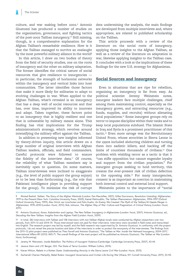culture, and war making before 2002.<sup>9</sup> Antonio Giustozzi has produced a number of studies on the organization, governance, and fighting tactics of the post-2002 Taliban insurgency.<sup>10</sup> Still missing, though, is a comprehensive explanation for the Afghan Taliban's remarkable resilience. How is it that the Taliban managed to survive an onslaught by the most powerful military alliance in the world?

In this article, I draw on two bodies of theory from the field of security studies, one on the roots of insurgency and the other on military adaptation. The former identifies the critical nature of social resources that give resilience to insurgencies in particular, the strength of horizontal networks within the insurgency and vertical links into host communities. The latter identifies those factors that make it more likely for militaries to adapt to evolving challenges in war. When applied to the Afghan Taliban, what's revealed is an insurgency that has a deep well of social resources and that has, over time, improved its ability to innovate and adapt. Taken together, these factors point to an insurgency that is highly resilient and one that is unbeatable by military means alone. This finding has vital implications for the Trump administration's strategy, which revolves around intensifying the military effort against the Taliban.

In addition to presenting new insights informed by theory-driven inquiry, this article draws on a large number of original interviews with Afghan Taliban leaders, officials, and field commanders. Careful protocols were followed to ensure the fidelity of the interview data.<sup>11</sup> Of course, the reliability of what Taliban members say is inevitably open to question. On some matters, Taliban interviewees were inclined to exaggerate (e.g., the level of public support the group enjoys) or to be less than forthcoming (e.g., the role that Pakistani intelligence plays in providing support for the group). To minimize the risk of corrupt data undermining the analysis, the main findings are developed from multiple interviews and, where appropriate, are related to published scholarship on the Taliban.

This article proceeds with a review of the literature on the social roots of insurgency, applying those insights to the Afghan Taliban, as well as a review of the literature on adaptation in war, likewise applying insights to the Taliban case. It concludes with a look at the implications of these findings for the new U.S. strategy for Afghanistan.

#### **Social Sources and Insurgency**

Even in situations that are ripe for rebellion, organizing an insurgency is far from easy. As political scientist Jeremy Weinstein notes, insurgent leaders face multiple challenges, chief among them maintaining control, especially as the insurgency grows, and extracting resources (e.g., funds, supplies, and recruits) without alienating local populations.<sup>12</sup> Some insurgent groups rely on terror to impose discipline within their ranks and to keep local populations subdued. The Islamic State in Iraq and Syria is a prominent practitioner of this tactic.13 Even more savage was the Revolutionary United Front, whose atrocities in Sierra Leone in the 1990s included abducting children and turning them into sadistic killers, and hacking off the limbs of countless thousands of civilians.14 One problem with wielding terror as a tactic is that it "can stifle opposition but cannot engender loyalty and support from the civilian population." For insurgent groups seeking to hold territory, this creates the ever-present risk of civilian defection to the opposing side.15 For many insurgencies, consent is as important as coercion in maintaining both internal control and external local support. Weinstein points to the importance of "social

- 13 Jessica Stern and J.M. Berger, *ISIS: The State of Terror* (London: William Collins, 2015).
- 14 Kieran Mitton, *Rebels in a Rotten State: Understanding Atrocity in the Sierra Leone Civil War* (London: Hurst, 2015).
- 15 Zachariah Cherian Mampilly, *Rebel Rulers: Insurgent Governance and Civilian Life During War* (Ithaca, NY: Cornell University Press, 2011), 52-55.

<sup>9</sup> Ahmed Rashid, *Taliban: The Story of the Afghan Warlords* (London: Pan Macmillan, 2001); Gilles Dorronsoro, *Revolution Unending: Afghanistan, 1979 to the Present* (New York: Columbia University Press, 2005); Kamal Matinuddin, *The Taliban Phenomenon: Afghanistan, 1994–1997* (Oxford: Oxford University Press, 1999); Alex Strick van Linschoten and Felix Kuehn, *An Enemy We Created: The Myth of the Taliban/Al Qaeda Merger in Afghanistan, 1970–2010* (London: Hurst, 2012); Rob Johnson, *The Afghan Way of War: Culture and Pragmatism: A Critical History* (London: Hurst, 2011).

<sup>10</sup> Antonio Giustozzi, *Koran, Kalashnikov and Laptop: The Neo-Taliban Insurgency in Afghanistan* (London: Hurst, 2007); Antonio Giustozzi, ed., *Decoding the New Taliban: Insights from the Afghan Field* (London: Hurst, 2009).

<sup>11</sup> In total, 282 interviews with Taliban and 138 interviews with non-Taliban Afghan locals were conducted by Afghan researchers over two periods, from 2011–12 and 2014–15. Those interviewed were not paid for their interviews. Interviews were recorded in field notes and transcribed into English. The research project was led by myself, and the field research was supervised by Dr. Antonio Giustozzi. In conformity with the project protocols, I do not reveal the precise location and date of the interviews in order to protect the anonymity of the interviewees. The findings from the 2011–12 pilot project were published as Theo Farrell and Antonio Giustozzi, "The Taliban at War: Inside the Helmand Insurgency, 2004–2011," *International Affairs* 89 (2013): 845-71. The overall findings of the main project will be published as Antonio Giustozzi, *The Taliban at War* (London: Hurst, forthcoming).

<sup>12</sup> Jeremy M. Weinstein, *Inside Rebellion: The Politics of Insurgent Violence* (Cambridge: Cambridge University Press, 2007), 43-44.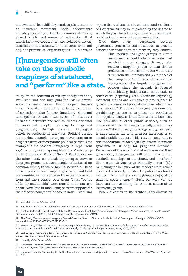endowments" in mobilizing people to join or support an insurgent movement. Social endowments include preexisting networks, common identities, shared beliefs, and norms of reciprocity, all of which facilitate cooperation and collective action, especially in situations with short-term costs and only the promise of long-term gains.<sup>16</sup> In his major

## [I]nsurgencies will often take on the symbolic trappings of statehood, and "perform" like a state.

study on the cohesion of insurgent organizations, Paul Staniland also highlights the role of prewar social networks, noting that insurgent leaders often "'socially appropriate' existing structures of collective action for new functions." Staniland distinguishes between two types of structures: horizontal networks and vertical ties.<sup>17</sup> Horizontal networks link people who may be dispersed geographically through common ideological beliefs or professional identities. Political parties are a prime example. Insurgent movements often originate from or incorporate political parties. One example is the peasant insurgency in Nepal from 1996 to 2006, which sprang from the Maoist wing of the Communist Party of Nepal.<sup>18</sup> Vertical ties, on the other hand, are preexisting linkages between insurgent groups and local people, often based on common ethnic, tribal, or familial networks. These make it possible for insurgent groups to bind local communities to their cause and to extract resources from and exert control over them. Thus, "bonds of family and kinship" were crucial to the success of the Naxalites in mobilizing peasant support for their Maoist insurgency in eastern India.<sup>19</sup> Staniland

argues that variance in the cohesion and resilience of insurgencies may be explained by the degree to which they are founded on, and are able to exploit, both horizontal networks and vertical ties.

Over time, many insurgencies develop governance processes and structures to provide services for civilians in the territory they control.

> This requires insurgent groups to divert resources that could otherwise be devoted to their armed struggle. It may also require insurgent groups to take civilian preferences into account, even when they differ from the interests and preferences of the insurgency.<sup>20</sup> In the case of secessionist insurgencies, the impulse to govern is obvious since the struggle is focused on achieving independent statehood. In

other cases (especially with Maoist insurgencies), insurgent groups are ideologically predisposed to govern the areas and populations over which they have control.<sup>21</sup> For most insurgent governments, establishing the means to police the population and regulate disputes is the first order of business. The provision of other public services, such as education and health care, is usually a secondary concern.22 Nonetheless, providing some governance is important in the long term for insurgencies to sustain public support. This can, in turn, lead to the moderation of ideologically driven insurgent governments, if only for pragmatic reasons.<sup>23</sup> Regardless of the extent and effectiveness of their governance, insurgencies will often take on the symbolic trappings of statehood, and "perform" like a state. As Zachariah Mampilly notes, "[b]y mimicking the behavior of the modern state, rebels seek to discursively construct a political authority imbued with a comparable legitimacy enjoyed by national governments."<sup>24</sup> Such behavior can be important in sustaining the political claims of an insurgency group.

When it comes to the Taliban, this discussion

16 Weinstein, *Inside Rebellion*, 48-49.

18 Madhav Joshi and T. David Mason, "Between Democracy and Revolution: Peasant Support for Insurgency Versus Democracy in Nepal," *Journal of Peace Research* 45 (2008): 765-82, http://www.jstor.org/stable/27640768.

20 Nelson Kasfir, "Rebel Governance — Constructing a Field of Inquiry: Definitions, Scope, Patterns, Order, Causes," in *Rebel Governance in Civil War*, ed. Ana Arjona, Nelson Kasfir, and Zachariah Mampilly (Cambridge: Cambridge University Press, 2017), 22-23.

21 Bert Suykens, "Comparing Rebel Rule Through Revolution and Naturalization: Ideologies of Governance in Naxalite and Naga India," in *Rebel Governance in Civil War*, ed. Arjona et al., 138-57.

22 Mampilly, *Rebel Rulers*, 63-64.

23 Till Forster, "Dialogue Direct: Rebel Governance and Civil Order in Northern Cote d'Ivoire," in *Rebel Governance in Civil War*, ed. Arjona et al., 203-25; and Suykens, "Comparing Rebel Rule Through Revolution and Naturalization."

24 Zachariah Mampilly, "Performing the Nation-State: Rebel Governance and Symbolic Processes," in *Rebel Governance in Civil War*, ed. Arjona et al., 77-78.

<sup>17</sup> Paul Staniland, *Networks of Rebellion: Explaining Insurgent Cohesion and Collapse* (Ithaca, NY: Cornell University Press, 2014).

<sup>19</sup> Alpa Shah, "The Intimacy of Insurgency: Beyond Coercion, Greed or Grievance in Maoist India," *Economy and Society* 42 (2013): 480-506. https://doi.org/10.1080/03085147.2013.783662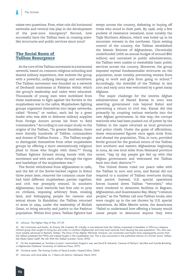raises two questions. First, what role did horizontal networks and vertical ties play in the development of the post-2002 insurgency? Second, how successful have the Taliban been in creating statelike structures and public services since 2002?

#### **The Social Roots of Taliban Resurgence**

At the core of the Taliban movement is a horizontal network, based on common religious schooling and shared military experience, that endows the group with a powerful, unifying ideology and worldview. The Taliban movement was founded on a network of Deobandi madrassas in Pakistan within which the group's leadership and cadre were educated. Thousands of young men were mobilized from these madrassas to fight against the Soviets in the mujahedeen war in the 1980s. Mujahedeen fighting groups organized themselves into larger networks, called "fronts," or *mahaz*, each led by a great leader who was able to disburse military supplies from foreign donors across his front to field commanders.<sup>25</sup> According to one major study on the origins of the Taliban, "In greater Kandahar, there were literally hundreds of Taliban commanders and dozens of Taliban fronts. … The Taliban sought to distinguish themselves from other mujahedeen groups by offering a more ostentatiously religious jihad to those who fought with them."<sup>26</sup> Young Taliban fighters formed strong bonds with the movement and with each other through the rigors and hardships of the mujahedeen war.<sup>27</sup>

The Soviet withdrawal from Afghanistan in 1989, and the fall of the Soviet-backed regime in Kabul three years later, removed the common cause that had held different mujahedeen parties together, and civil war promptly ensued. In southern Afghanistan, local warlords had free rein to prey on civilians, imposing arbitrary fines, stealing land, and kidnapping people for ransom and sexual abuse. In Kandahar, the Taliban returned to arms in 1994, under the leadership of Mullah Omar, to bring security and justice to the Pashtun population. Within four years, Taliban fighters had

swept across the country, defeating or buying off rivals who stood in their path. By 1998, only a few pockets of resistance remained, most notably the Tajik Northern Alliance, which was holed up in its mountain retreats in the northeast. Upon seizing control of the country, the Taliban established the Islamic Emirate of Afghanistan. Chronically underfunded (with an annual budget of around \$80 million) and untrained in public administration, the Taliban were unable to reestablish basic public services across the country. Moreover, the group imposed myriad fundamentalist strictures on the population, most notably preventing women from going to work and girls from going to school.<sup>28</sup> Accordingly, the downfall of the Taliban in late 2001 and early 2002 was welcomed by a great many Afghans.

The major challenge for the interim Afghan administration of Hamid Karzai in 2002 was asserting government rule beyond Kabul and preventing a return to civil war. Karzai did this primarily by coopting various warlords into the new Afghan government. In this way, the corrupt warlords who had been pushed out of power by the Taliban in the 1990s returned as local governors and police chiefs. Under the guise of officialdom, these reincarnated figures once again stole from and abused the population. This, in turn, provided fertile ground for the gradual return of the Taliban into southern and eastern Afghanistan beginning in 2004. As one local elder from Helmand province noted, "day by day people got fed up with this Afghan government and welcomed the Taliban back into their districts."29

The United States ruled out peace talks with the Taliban in 2001 and 2002, and Karzai did not respond to a number of Taliban overtures during this period. Instead, U.S. special operations forces hunted down Taliban "terrorists," who were rendered to detention facilities in Bagram, Afghanistan, and Guantanamo Bay. Many "common people," as the Taliban call non-Taliban locals, also were caught up in the net thrown by U.S. special operations. As Mike Martin notes, the Americans "failed to understand how offering a bounty would cause people to denounce anyone they were

<sup>25</sup> Johnson, *The Afghan Way of War*, 217-39.

<sup>26</sup> Van Linschoten and Kuehn, *An Enemy We Created*, 45. Initially, it was believed that the Taliban originated in Kandahar in 1994 as a religious militant group that sought to bring law and order to southern Afghanistan and stop local warlords from abusing the area population. This view was most notably advanced in Rashid's *Taliban: The Story of the Afghan Warlords*. However, van Linschoten and Kuehn have subsequently proven that the Taliban predated the 1990s and indeed fought in the mujahedeen war. This is also recounted in the published memoir of a former senior Taliban. See Abdul Salam Zaeff, *My Life With the Taliban* (London: Hurst, 2010).

<sup>27</sup> On the mujahedeen as "brothers-in-arms" communities forged in war, see David B. Edwards, *Caravan of Martyrs: Sacrifice and Suicide Bombing in Afghanistan* (Oakland: University of California Press, 2017).

<sup>28</sup> Christina Lamb, *The Sowing Circles of Herat* (London: HarperCollins, 2004).

<sup>29</sup> Interview with local elder no. 7, Nad-e Ali district, Helmand, March 2012.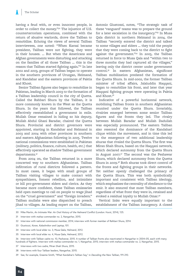having a feud with, or even innocent people, in order to collect the money."<sup>30</sup> The injustice of U.S. counterterrorism operations, combined with the return of abusive warlords, drove the Taliban to remobilize. Echoing the views of several Taliban interviewees, one noted: "When Karzai became president, Taliban were not fighting, they were in their houses. … But when the Americans and Afghan governments were disturbing and attacking on the families of all those Taliban … this is the reason that Taliban started fighting again."<sup>31</sup> In late 2002 and 2003, groups of Taliban began to operate in the southern provinces of Uruzgan, Helmand, and Kandahar and the eastern provinces of Paktia and Khost.

Senior Taliban figures also began to remobilize in Pakistan, leading in March 2003 to the formation of a Taliban leadership council in the city of Quetta. Called the Rahbari Shura by the Taliban, it is more commonly known in the West as the Quetta Shura. In the years that followed, the Taliban effectively reestablished a government in exile. Mullah Omar remained in hiding so his deputy, Mullah Abdul Ghani Baradar, chaired the Quetta Shura. Provincial and district governors were appointed, starting in Kandahar and Helmand in 2003 and 2004 with other provinces in southern and eastern Afghanistan following in 2005. Twelve national commissions were established in Pakistan (military, politics, finance, culture, health, etc.) that effectively operated as shadow Taliban government departments.32

From 2004 on, the Taliban returned in a more concerted way to southern Afghanistan. Taliban infiltration of rural districts followed a pattern. In most cases, it began with small groups of Taliban visiting villages to make contact with sympathizers, foment rebellion, and intimidate or kill pro-government elders and clerics. As they became more confident, these Taliban emissaries held open meetings to call on people to wage jihad on the "cruel government" and "foreign invaders." Taliban mullahs were also dispatched to preach jihad to villages. As leading expert on the Taliban,

Antonio Giustozzi, notes, "The strategic task of these 'vanguard' teams was to prepare the ground for a later escalation in the insurgency."<sup>33</sup> In Musa Qala district in northern Helmand in 2004, the Taliban "secretly entered the district and talked to some villages and elders … they told the people that they were coming back to the district to fight against the government."34 In 2005, the Taliban returned in force to Musa Qala and "within two to three months they had captured all the villages," leaving only the district center under government control.35 In eastern Afghanistan, significant Taliban mobilization predated the formation of the Quetta Shura. In mid-2002, the former Taliban minister of tribal affairs, Jalaluddin Haqqani, began to remobilize his front, and later that year Haqqani fighting groups were operating in Paktia and Khost.36

Indicative of a powerful horizontal network, mobilizing Taliban fronts in southern Afghanistan reunited under the Quetta Shura. Invariably, rivalries emerged between some senior Taliban figures and the fronts they led. The rivalry between Mullah Baradar and Mullah Dadullah was especially pronounced. The eastern Taliban also resented the dominance of the Kandahari clique within the movement, and in time this led to the emergence of two additional leadership shuras that rivaled the Quetta Shura. The first was Miran Shah Shura, based on the Haqqani network, which declared autonomy from the Quetta Shura in August 2007.37 The second was the Peshawar Shura, which declared autonomy from the Quetta Shura in 2009.38 Both shuras took direct control of the fronts and fighting groups in their networks. Yet neither openly challenged the primacy of the Quetta Shura. This was both symbolically important and consistent with Taliban ideology, which emphasizes the centrality of obedience to the emir. It also ensured that most Taliban members, regardless of what front they were in, retained and evoked a residual loyalty to Mullah Omar.39

Vertical links were equally important to the establishment of the Taliban insurgency. A closed

- 30 Mike Martin, *An Intimate War: An Oral History of the Helmand Conflict* (London: Hurst, 2014), 125.
- 31 Interview with *mahaz* commander no. 2, Nangarhar, 2015.
- 32 Interview with national commission member, 2014; interview with former member of Rahbari Shura, 2014.
- 33 Giustozzi, *Koran, Kalashnikov and Laptop*, 101.
- 34 Interview with local elder no. 3, Musa Qala, Helmand, 2012.
- 35 Interview with local elder no. 4, Musa Qala, Helmand, 2012.
- 36 Interview with Taliban cadre no. 10, Peshawar, 2015. A number of Taliban fronts also reactivated in Nangarhar in 2004–05, each with many hundreds of fighters. Interview with *mahaz* commander no. 1, Nangarhar, 2015; interview with *mahaz* commander no. 2, Nangarhar, 2015.
- 37 Interviews with two cadre, Miran Shah Shura, 2015.
- 38 Interviews with four Taliban leaders, Nangarhar, 2015.
- 39 See, for example, Graeme Smith, "What Kandahar's Taliban Say," in *Decoding the New Taliban*, 191-210.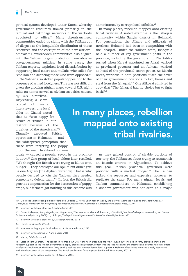political system developed under Karzai whereby government resources flowed primarily to the familial and patronage networks of the warlords appointed to office.<sup>40</sup> Many disenfranchised communities ended up siding with the Taliban out of disgust at the inequitable distribution of those resources and the corruption of the new warlordofficials.41 Downtrodden communities also aligned with the Taliban to gain protection from abusive pro-government militias. In some cases, the Taliban expertly exploited local dissatisfaction by supporting local elders and mullahs who called for rebellion and silencing those who were opposed.<sup>42</sup>

The Taliban also stoked popular opposition to the presence of armed foreigners. This was not difficult given the growing Afghan anger toward U.S. night raids on homes as well as civilian casualties caused

by U.S. airstrikes. Expressing a view typical of many interviewees, one local elder in Ghanzi noted that he "was happy for return of Taliban in our district because of the cruelties of the Americans."43 Clumsily executed British operations in Helmand — and the widespread perception that these were targeting the poppy crop, the main livelihood for most

locals — caused a popular revolt in the province in 2007.44 One group of local elders later recalled, "We thought the British were trying to kill us with hunger — they destroyed our opium but didn't give us one Afghani [the Afghan currency]. That is why people decided to join the Taliban; they needed someone to defend them."45 In fact, the British did provide compensation for the destruction of poppy crops, but farmers got nothing as this scheme was administered by corrupt local officials.46

In many places, rebellion mapped onto existing tribal rivalries. A noted example is the Ishaqzai community within Sangin district in Helmand. For generations, the Alizais and Alikozais of northern Helmand had been in competition with the Ishaqzai. Under the Taliban state, Ishaqzais held a number of key government posts in the province, including the governorship. The tables turned when Karzai appointed an Alizai warlord as provincial governor and an Alikozai warlord as head of the provincial secret police. As Martin notes, warlords in both positions "used the cover of their government positions to tax, harass and steal from the Ishaqzai."47 One Alikozai admitted in 2007 that "The Ishaqzai had no choice but to fight back."48

In many places, rebellion mapped onto existing tribal rivalries.

> As they gained control of sizable portions of territory, the Taliban set about trying to reestablish an Islamic emirate in Afghanistan. To achieve this goal, Taliban provincial governors were provided with a modest budget.<sup>49</sup> The Taliban lacked the resources and expertise, however, to replicate the state. For many Afghan locals and Taliban commanders in Helmand, establishing a shadow government was not seen as a major

40 On closed versus open political orders, see Douglas C. North, John Joseph Wallis, and Barry R. Weingast, *Violence and Social Orders: A Conceptual Framework for Interpreting Recorded Human History* (Cambridge: Cambridge University Press, 2009).

42 Carter Malkasian, Jerry Meyerle, and Megan Katt, "The War in Southern Afghanistan, 2001–2008," unclassified report (Alexandria, VA: Center for Naval Analysis, July 2009): 11, 14, https://info.publicintelligence.net/CNA-WarSouthernAfghanistan.pdf.

- 43 Interview with local elder no. 3, Qarabagh, Ghanzi, 2014.
- 44 Farrell, *Unwinnable*, 226-28.
- 45 Interview with group of local elders no. 9, Nad-e Ali district, 2012.
- 46 Interview with elder no. 3, Nahr-e Seraj, 2011.

48 Cited in Tom Coghlan, "The Taliban in Helmand: An Oral History," in *Decoding the New Taliban*, 139. The British Army provided limited and reluctant support to the Afghan government's poppy eradication program. Britain was the lead nation for the international counter-narcotics effort in Afghanistan; however, the British Army quickly realized that it risked losing local support in Helmand if its forces were too closely associated with the destruction of the poppy crop. The British got blamed for it anyway. See Farrell, *Unwinnable*, 227-28.

49 Interview with Taliban leader no. 14, Quetta, 2015.

<sup>41</sup> Interview with local elder no. 4, Nahr-e Seraj, 2011.

<sup>47</sup> Martin, *Brief History*, 49.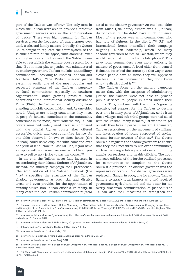part of the Taliban war effort.<sup>50</sup> The only area in which the Taliban were able to provide alternative government services was in the administration of justice. There was high demand for Taliban services given the frequency of rural disputes over land, trade, and family matters. Initially, the Quetta Shura sought to replicate the court system of the Islamic emirate of the 1990s, with standing lower and higher courts. In Helmand, the Taliban were able to reestablish the emirate court system for a time. But in most places, justice was administered by shadow governors, Taliban mullahs, and military commanders. According to Thomas Johnson and Matthew DuPee, "The Taliban shadow justice system is easily one of the most popular and respected elements of the Taliban insurgency by local communities, especially in southern Afghanistan."51 Under growing pressure from operations of the International Security Assistance Force (ISAF), the Taliban switched in 2009 from standing to mobile courts in Helmand. As one elder noted, "Judges are hiding; sometimes they meet in people's houses, sometimes in the mountains, sometimes in the mosques."<sup>52</sup> Nonetheless, Taliban courts remained widely used because, compared with the official Afghan courts, they offered accessible, quick, and corruption-free justice. As one elder observed, "In two or three hours, [the Taliban] could solve disputes with someone over one jerib of land. Now in Lashkar Gah, if you have a dispute with someone over one jerib of land, you have to sell twenty jeribs to pay the courts."<sup>53</sup>

In the end, the Taliban never fully invested in reconstituting their Islamic Emirate of Afghanistan. Instead, the military campaign took precedence. The 2010 edition of the Taliban rulebook (the *layeha*) specifies the structure of the Taliban shadow government at provincial and district levels and even provides for the appointment of suitably skilled non-Taliban officials. In reality, in many cases the local Taliban commander *de facto*

acted as the shadow governor.<sup>54</sup> As one local elder from Musa Qala noted, "There was a [Taliban] district chief, but he didn't have much influence. Most of the power was with commanders who had lots of fighters in the district."<sup>55</sup> U.S. and international forces intensified their campaign targeting Taliban leadership, which led many shadow governors to flee to Pakistan, where they would issue instructions by mobile phone.<sup>56</sup> This gave local commanders even more authority in matters of governance. A local elder from central Helmand described the status quo this way in 2011: "When people have an issue, they will approach the local [Taliban] commander. They don't know who the district chief is."57

The Taliban focus on the military campaign meant that, with the exception of administering justice, the Taliban were not able to provide public services to people in areas under their control. This, combined with the conflict's growing intensity, led support for the Taliban to decline over time in many parts of Afghanistan. Aside from those villages and sub-tribal groups that had allied with the Taliban, many farmers just wanted to get on with their lives in peace. In eastern Afghanistan, Taliban restrictions on the movement of civilians, and interrogation of locals suspected of spying, became further sources of friction.<sup>58</sup> The Quetta Shura did regulate the shadow governors to ensure that they took measures to win over communities, such as banning arbitrary executions and limiting attacks on teachers and health officials. The 2007 and 2010 editions of the *layeha* outlined processes for communities to complain to the Quetta Shura if a provincial or district governor was too repressive or corrupt. Two district governors were replaced in Sangin in 2009, one for allowing Taliban fighters to attack local farmers who had received government agricultural aid and the other for his overly draconian administration of justice.59 The Taliban also took measures to strengthen the

- 53 Interview with local elder no. 7, Nahr-e Seraj, 2011; similar view was offered in interview with elder no. 5, Nahr-e Seraj, 2011.
- 54 Johnson and DuPee, "Analysing the New Taliban Code," 85-86.
- 55 Interview with elder no. 3, Musa Qala, 2011.
- 56 Interviews with elder no. 4, Nahr-e Seraj, 2011; and elder no. 3, Musa Qala, 2011.
- 57 Interview with elder no. 4, Nahr-e Seraj, 2011.
- 58 Interview with local elder no. 1, Logar, February 2015; interview with local elder no. 2, Logar, February 2015; interview with local elder no. 10, Nangarhar, March 2015.
- 59 Phil Weatherill, "Targeting the Centre of Gravity: Adapting Stabilisation in Sangin," *RUSI Journal* 156 (2011): 98, 22n, https://doi.org/10.1080/0 3071847.2011.606655.

<sup>50</sup> Interview with local elder no. 3, Nahr-e Seraj, 2011; Taliban commander no. 2, Nad-e Ali, 2012; and Taliban commander no. 1, Marjah, 2011.

<sup>51</sup> Thomas H. Johnson and Matthew C. DuPee, "Analysing the New Taliban Code of Conduct (Layeha): An Assessment of Changing Perspectives and Strategies of the Afghan Taliban," *Central Asian Survey* 31 (2002): 84, https://doi.org/10.1080/02634937.2012.647844; see also Coghlan, "The Taliban in Helmand," 148-49.

<sup>52</sup> Interview with local elder no. 5, Nahr-e Seraj, 2011. Also confirmed by interviews with elder no. 1, Now Zad, 2011; elder no 6, Nad-e Ali, 2011; and elder no. 2, Garmsir, 2011.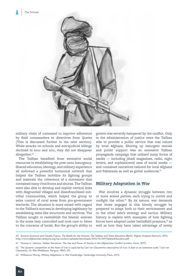

military chain of command to improve adherence by field commanders to directives from Quetta (This is discussed further in the next section). While attacks on schools and extrajudicial killings declined in 2010 and 2011, they did not disappear altogether.<sup>60</sup>

The Taliban benefited from extensive social resources in establishing the post-2002 insurgency. Shared education, ideology, and military experience all endowed a powerful horizontal network that helped the Taliban mobilize its fighting groups and maintain the coherence of a movement that contained many rival fronts and shuras. The Taliban were also able to develop and exploit vertical links with disgruntled villages and disenfranchised subtribal communities, which helped the group to seize control of rural areas from pro-government warlords. The situation is more mixed with regard to the Taliban's success in developing legitimacy by establishing state-like structures and services. The Taliban sought to reestablish the Islamic emirate in the areas they controlled and took care to listen to the concerns of locals. But the group's ability to

govern was severely hampered by the conflict. Only in the administration of justice were the Taliban able to provide a public service that was valued by local Afghans. Shoring up insurgent morale and public support was an extensive Taliban propaganda campaign that utilized many forms of media — including jihadi magazines, radio, night letters, and sophisticated uses of social media and contained narratives tailored for local Afghans and Pakistanis as well as global audiences.<sup>61</sup>

#### **Military Adaptation in War**

War involves a dynamic struggle between two or more armed parties, each trying to outwit and outfight the other. $62$  By its nature, war demands that those engaged in this bloody struggle be prepared to adapt both to their environment and to the other side's strategy and tactics. Military history is replete with examples of how fighting forces have adapted under battlefield pressure,<sup>63</sup> as well as how they have taken advantage of newly

- 62 The dynamic competition at the heart of war is captured by Carl von Clausewitz's description of it as "a duel on an extensive scale." Carl von Clausewitz, *On War* (Middlesex: Penguin, 1987), 101.
- 63 Williamson Murray, *Military Adaptation in War* (Cambridge: Cambridge University Press, 2011).

<sup>60</sup> Antonio Guistozzi and Claudio Franco, *The Battle for the Schools: The Taleban and State Education* (Berlin: Afghan Analysts Network, 2011), http://www.afghanistan-analysts.org/wp-content/uploads/downloads/2012/10/2011TalebanEducation.pdf.

<sup>61</sup> Thomas H. Johnson, *Taliban Narratives: The Use and Power of Stories in the Afghanistan Conflict* (London: Hurst, 2017).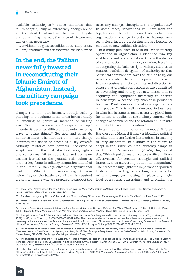available technologies.<sup>64</sup> Those militaries that fail to adapt quickly or extensively enough are at greater risk of defeat and find that, even if they do end up winning the war, the price of victory was higher than necessary.<sup>65</sup>

Notwithstanding these realities about adaptation, military organizations can nevertheless be slow to

In the end, the Taliban never fully invested in reconstituting their **Islamic Emirate of** Afghanistan. Instead, the military campaign took precedence.

change. That is in part because, through training, planning, and equipment, militaries invest heavily in excelling at particular methods of waging war. This, in turn, creates a "competency trap," whereby it becomes difficult to abandon existing ways of doing things.<sup>66</sup> So, how and when do militaries adapt? The literature on military change identifies the shock of defeat as a key driver.<sup>67</sup> Although militaries have powerful incentives to adapt based on their battlefield setbacks, higherups sometimes fail to appreciate and act upon lessons learned on the ground. This points to another key factor in military adaptation identified in the literature: namely, effective organizational leadership. When the innovations originate from below, i.e., on the battlefield, all that is required are senior leaders who are prepared to support the

necessary changes throughout the organization.<sup>68</sup> In some cases, innovations will flow from the top, for example, when senior leaders champion organizational change in order to harness new technology, incorporate foreign military lessons, or respond to new political direction.<sup>69</sup>

In a study published in 2010 on British military operations in Afghanistan, I identified two key enablers of military adaptation. One is the degree of centralization within an organization. Here it is about getting the balance right. Military adaptation requires sufficient delegation of authority so that battlefield commanders have the latitude to try out new tactics when the old ones prove ineffective.<sup>70</sup> It also requires sufficient centralized direction to ensure that organization resources are committed to developing and rolling out new tactics and to acquiring the equipment necessary to operate in new ways. A second key enabler is personnel turnover: Fresh ideas can travel into organizations with people. This is well understood in business, in what has become, in many sectors, a global hunt for talent. It applies in the military context with changes of command and the rotation of units into and out of theaters of operation.<sup>71</sup>

In an important correction to my model, Kristen Harkness and Michael Hunzeker identified political considerations as a further factor critical in enabling military adaptation. In a study of the failure to adapt in the British counterinsurgency campaign in Southern Cameroons in 1960–61, they found that "British politicians chose to sacrifice military effectiveness for broader strategic and political interests, thus subverting bottom-up adaptation." Their research highlights the importance of political leadership in setting overarching objectives for military campaigns, putting in place any highlevel operational constraints, and allocating the

64 Theo Farrell, "Introduction: Military Adaptation in War," in *Military Adaptation in Afghanistan*, ed. Theo Farrell, Frans Osinga, and James A. Russell (Stanford: Stanford University Press, 2013), 9-10.

67 Barry R. Posen, *The Sources of Military Doctrine: France, Britain, and Germany Between the World Wars* (Ithaca, NY: Cornell University Press, 1984); Stephen P. Rosen*, Winning the Next War: Innovation and the Modern Military* (Ithaca, NY: Cornell University Press, 1991).

68 Philipp Rotmann, David Tohn, and Jaron Wharton, "Learning Under Fire: Progress and Dissent in the US Military," *Survival* 51, no. 4 (August 2009): 31-48, https://doi.org/10.1080/00396330903168824. Thus, nonresponsive senior leaders within the military or the government can block necessary military adaptation. See Adam M. Jungdahl and Julia M. Macdonald, "Innovation Inhibitors in War: Overcoming Obstacles in the Pursuit of Military Effectiveness," *Journal of Strategic Studies* 38 (2015): 467-99, https://doi.org/10.1080/01402390.2014.917628.

69 The importance of senior leaders with the vision and organizational standing to lead military innovation is explored in Rosen's *Winning the Next War*. See also Theo Farrell, Sten Rynning, and Terry Terriff, *Transforming Military Power Since the End of the Cold War: Britain, France and the United States, 1991-2012* (Cambridge: Cambridge University Press, 2013).

70 The importance of sufficient "force autonomy" to enable military adaptation is also identified in Torunn Laugen Haaland, "The Limits to Learning in Military Operations: Bottom-Up Adaptation in the Norwegian Army in Northern Afghanistan, 2007–2012," *Journal of Strategic Studies* 39, no. 7 (2016): 999-1022, https://doi.org/10.1080/01402390.2016.1202823.

71 I also identified a third enabling factor, poor organizational memory, that is not relevant for the Taliban case. Theo Farrell, "Improving in War: Military Adaptation and the British in Helmand Province, Afghanistan, 2006–2009," *Journal of Strategic Studies* 33, no. 4 (2010): 567-94, https:// doi.org/10.1080/01402390.2010.489712.

<sup>65</sup> The classic study is by Eliot A. Cohen and John Gooch, *Military Misfortunes: The Anatomy of Failure in War* (New York: Free Press, 1990).

<sup>66</sup> James G. March and Barbara Levitt, "Organizational Learning," in *The Pursuit of Organizational Intelligence*, ed. J.G. March (Oxford: Blackwell, 1999), 78-79.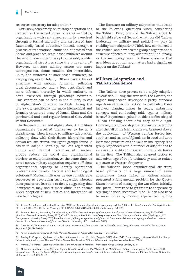resources necessary for adaptation.72

Until now, scholarship on military adaptation has focused on the armed forces of states — that is, organizations with centralized authority exercised through a formal hierarchy and structured into functionally based subunits.<sup>73</sup> Indeed, through a process of transnational emulation of professional norms and practices, state-based militaries around the world have come to adopt remarkably similar organizational structures since the 19th century.74 However, non-state military actors are more heterogeneous. Some emulate the hierarchies, units, and uniforms of state-based militaries, to varying degrees of fidelity. Others have a hybrid structure, with subunit formation reflecting local circumstances, and a less centralized and more informal hierarchy in which authority is often exercised through patronage networks. This variation can be seen in the military forces of Afghanistan's foremost warlords during the late 1990s, specifically the more hierarchical and formally structured army of Ismail Khan and the patrimonial and semi-regular forces of Gen. Abdul Rashid Dostrum.75

In the wars in Iraq and Afghanistan, U.S. military commanders perceived themselves to be at a disadvantage when it came to military adaptation, believing that, with their flatter hierarchies and networked structures, insurgent groups found it easier to adapt.76 Certainly, the less regimented culture and informal hierarchies of insurgent groups reduce the social and organizational barriers to experimentation. At the same time, as noted above, military adaptation requires sufficient organizational capacity to identify operational problems and develop tactical and technological solutions.77 Modern militaries devote considerable resources to developing such capacities whereas insurgencies are less able to do so, suggesting that insurgencies may find it more difficult to ensure wider adoption of new tactics and integration of new technologies.

The literature on military adaptation thus leads to the following questions when considering the Taliban. First, how did the Taliban adapt to battlefield setbacks? Second, what role did Taliban leadership — military *and* political — play in enabling that adaptation? Third, how centralized is the Taliban, and how has the group's organizational structure affected military adaptation? And, finally, as the insurgency grew, is there evidence that new ideas about military matters had a significant impact on the Taliban?

#### **Military Adaptation and Taliban Resilience**

The Taliban have proven to be highly adaptive adversaries. During the war with the Soviets, the Afghan mujahedeen developed a pretty standard repertoire of guerrilla tactics. In particular, these involved planting mines in roads, ambushing convoys, and conducting raids against military bases.78 Experience gained in this conflict shaped Taliban thinking about how they should fight. However, this did not stop the Taliban from adapting after the fall of the Islamic emirate. As noted above, the deployment of Western combat forces into southern and eastern Afghanistan in 2006 and 2007 increased pressure on the Taliban insurgency. The group responded with a number of adaptations to improve its ability to mass and control its forces in the field. The Taliban also adapted tactics to take advantage of bomb technology and to reduce exposure to Western firepower.

The Taliban's loose organizational structure, based primarily on a large number of semiautonomous fronts linked to various shuras, presented a fundamental problem for the Quetta Shura in terms of managing the war effort. Initially, the Quetta Shura tried to get fronts to cooperate by offering financial incentives. The Taliban also tried to mass forces by moving experienced fighting

<sup>72</sup> Kristen A. Harkness and Michael Hunzeker, "Military Maladaptation: Counterinsurgency and the Politics of Failure," *Journal of Strategic Studies* 38, no. 6 (2015): 777-800, https://doi.org/10.1080/01402390.2014.960078. (Quote is from p. 778-79.)

<sup>73</sup> James A. Russell, *Innovation, Transformation, and War: Counterinsurgency Operations in Anbar and Ninewa Provinces, Iraq, 2005–2007* (Stanford: Stanford University Press, 2011); Chad C. Serena, *A Revolution in Military Adaptation: The US Army in the Iraq War* (Washington, DC: Georgetown University Press, 2011); Farrell et al., ed., *Military Adaptation in Afghanistan*; Stephen M. Saideman, *Adapting in the Dust: Lessons Learned from Canada's War in Afghanistan* (Toronto: University of Toronto Press, 2016).

<sup>74</sup> Theo Farrell, "Transnational Norms and Military Development: Constructing Ireland's Professional Army," *European Journal of International Relations* 7 (2001): 309-26.

<sup>75</sup> Antonio Giustozzi, *Empires of Mud: War and Warlords in Afghanistan* (London: Hurst, 2009).

<sup>76</sup> Stanley McChrystal, *My Share of the Task: A Memoir* (London: Portfolio/Penguin, 2013), chap. 7–10. For a stinging critique of the U.S. military's failure to adapt in Iraq, see Thomas E. Ricks, *Fiasco: The American Military Adventure in Iraq* (London: Allen Lane, 2006).

<sup>77</sup> Francis G. Hoffman, "Learning Under Fire: Military Change in Wartime," PhD thesis, King's College London, 2015.

<sup>78</sup> Ali Ahmad Jalali and Lester W. Grau, *Afghan Guerrilla Warfare: In the Words of the Mujahideen Fighters* (Minneapolis: Zenith Press, 2001); Russian General Staff, *The Soviet-Afghan War: How a Superpower Fought and Lost*, trans. and ed. Lester W. Grau and Michael A. Gress (University of Kansas Press, 2002), 62-72.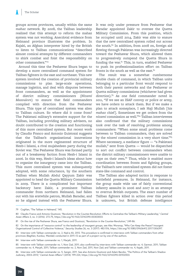groups across provinces, usually within the same *mahaz* network. By 2008, the Taliban leadership realized that this attempt to reform the mahaz system was not working. Anecdotal evidence from Helmand province illustrates the problem. In Kajaki, an Afghan interpreter hired by the British to listen to Taliban communications "described almost comical attempts by different commanders to shirk combat and foist the responsibility on other commanders."79

Around this time the Peshawar Shura began to develop a more centralized command system for Taliban fighters in the east and northeast. This new system involved the creation of provincial military commissions to plan large-scale operations, manage logistics, and deal with disputes between front commanders, as well as the appointment of district military commissioners (*Nizami Massuleen*) to ensure that field commanders complied with direction from the Peshawar Shura. This type of centralized system was alien to Taliban culture. So where did it come from? The Pakistani military's extensive support for the Taliban, including providing military advisers, no doubt contributed to the creation and functioning of this more centralized system. But recent work by Claudio Franco and Antonio Guistozzi suggests that the Taliban's organizational innovations originated in the more regimented structure of Hezb-i Islami, a rival mujahedeen party during the Soviet war. The Peshawar Shura was formed partly out of a breakaway faction from Hezb-i Islami in 2006. In this way, Hezb-i Islami's ideas about how to organize the insurgency came into the Taliban. This more centralized system was subsequently adopted, with some reluctance, by the southern Taliban when Mullah Abdul Qayyum Zakir was appointed to head the Quetta Military Commission in 2009. There is a complicated but important backstory here: Zakir, a prominent Taliban commander from northern Helmand, had fallen out with his erstwhile patron, Mullah Baradar, and so he aligned instead with the Peshawar Shura.

It was only under pressure from Peshawar that Baradar appointed Zakir to oversee the Quetta Military Commission. From this position, which he occupied until 2014, Zakir was able to ensure that the new centralized system rolled out across the south.<sup>80</sup> In addition, from 2008 on, foreign aid flowing through Pakistan was increasingly directed toward the Peshawar Shura, which allowed them to progressively outspend the Quetta Shura in funding the war.<sup>81</sup> This, in turn, enabled Peshawar to push its professionalization effort on Taliban fronts in the south as well as the east. $82$ 

The result was a somewhat cumbersome double chain of command, in which Taliban units belonging to a particular front would respond to both their parent networks and the Peshawar or Quetta military commissions (whichever had given direction).<sup>83</sup> As one field commander noted in 2011, "If we see an ISAF convoy or police or army, we have orders to attack them. But if we make a plan to attack someplace, I ask Haji Mullah [his *mahaz* chief]. Sometimes we get orders from the *nizami* commission as well."84 Taliban interviewees also confirmed that the military commissions took over the task of resolving problems among commanders: "When some small problems come between to Taliban commanders, they are solved by the *nizami* commission in a very short time."<sup>85</sup> Where necessary, a mediator figure — "a Pakistani mullah," sent from Quetta — would be dispatched to sort out conflict between commanders when the district military commissioners were unable to cope on their own.<sup>86</sup> Thus, while it enabled more coordination between fronts and fighting groups, the Taliban's new centralized system did not foster state-like command and control.

The Taliban also adapted tactics in response to battlefield pressures. In Helmand, for instance, the group made wide use of fairly conventional infantry assaults in 2006 and 2007 in an attempt to overrun British outposts. The exact number of Taliban fighters killed in action over this period is unknown, but British defense intelligence

<sup>79</sup> Coghlan, "The Taliban in Helmand," 145.

<sup>80</sup> Claudio Franco and Antonio Giustozzi, "Revolution in the Counter-Revolution: Efforts to Centralize the Taliban's Military Leadership," *Central Asian Affairs* 3, no. 3 (2016): 272-75, https://doi.org/10.1163/22142290-00303003.

<sup>81</sup> On the rise of the Peshawar Shura, see Franco and Giustozzi, "Revolution in the Counter-Revolution," 249-86.

<sup>82</sup> On the importance of "resource control" to the leadership of insurgent groups, see Alec Worsnop, "Who Can Keep the Peace? Insurgent Organizational Control of Collective Violence," *Security Studies* 26, no. 3 (2017): 482-516, https://doi.org/10.1080/09636412.2017.1306397.

<sup>83</sup> Interview with Taliban commander no. 2, Nad-e Ali, 2012. This procedure is confirmed in interviews with Taliban commanders from other provinces (Baghlan, Kunduz, Wardak) conducted in 2011–12 as part of a project run by one of the authors.

<sup>84</sup> Interview with Taliban commander no. 1, Marjah, 2011.

<sup>85</sup> Interview with Taliban commander no. 1, Now Zad, 2011; also confirmed by interviews with Taliban commander no. 4, Garmsir, 2011; Taliban commander no. 4, Marjah, 2011; Taliban commander no. 2, Now Zad, 2011, Now Zad; and Taliban commander no. 4, Kajaki, 2011.

<sup>86</sup> Interview with Taliban commander no. 5, Sangin, 2011. See also Antonio Giustozzi and Adam Baczko, "The Politics of the Taliban's Shadow Judiciary, 2003–2013," *Central Asian Affairs* 1 (2014): 199-224, https://doi.org/10.1163/22142290-00102003.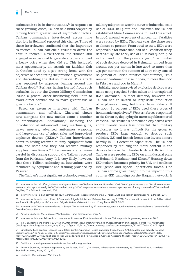estimated it to be in the thousands.<sup>87</sup> In response to these growing losses, Taliban field units adapted by moving toward greater use of asymmetric tactics. Taliban commanders interviewed across nine districts in Helmand reported this change. Three of these interviewees confirmed that the imperative to reduce Taliban battlefield casualties drove the shift in tactics.<sup>88</sup> Nevertheless, the Taliban still engaged in occasional large-scale attacks and paid a heavy price when they did so. This included, most spectacularly, an assault on Lashkar Gah in October 2008 by a 300-strong force, with the objective of decapitating the provincial government and discrediting the British mission. This attack was repulsed by airpower, leaving around 150 Taliban dead.<sup>89</sup> Perhaps having learned from such setbacks, in 2010 the Quetta Military Commission issued a general order instructing field units to avoid direct combat and to make greater use of guerrilla tactics.90

Based on extensive interviews with Taliban commanders and officials, Giustozzi shows how alongside the new tactics came a number of "technological innovations," including the introduction of anti-aircraft heavy machine guns, heavy mortars, advanced anti-armor weapons, and large-scale use of sniper rifles and improvised explosive devices (IEDs).<sup>91</sup> Taliban interviewees admit to having received military equipment from Iran, and some said they had received military supplies from Russia.<sup>92</sup> Interviewees are far more careful in discussing support the Taliban received from the Pakistani Army. It is very likely, however, that these Taliban technological innovations were facilitated by equipment and training provided by Pakistan.

military adaptation was the move to industrial-scale use of IEDs. In Quetta and Peshawar, the Taliban established Mine Commissions to lead this effort. In 2006, around 30 percent of all coalition fatalities were caused by IEDs. The next year, the share rose to almost 40 percent. From 2008 to 2010, IEDs were responsible for more than half of all coalition troop deaths.93 By late 2008, use of IEDs had quadrupled in Helmand from the previous year. The number of such devices detected in Helmand jumped from around 100 per month in late 2008 to more than 450 per month in the summer of 2009 (they caused 80 percent of British fatalities that summer). This number continued to rise in 2010, to more than 600 in February and 700 in March.94

Initially, most improvised explosive devices were made using recycled Soviet mines and unexploded ISAF ordnance. To meet demand, however, the Taliban had to switch to large-scale production of explosives using fertilizers from Pakistan.<sup>95</sup> By 2009, 80 percent of IEDs used these types of homemade explosives.96 Western forces responded to the threat by deploying far more capable armored vehicles. The Taliban's homemade explosives were about twenty times less powerful than military explosives, so it was difficult for the group to produce IEDs large enough to destroy such vehicles. U.S. and British forces also invested more heavily in IED detection capabilities. The Taliban responded by reducing the metal content in the devices to make them harder to detect. By 2011, the Taliban were producing IEDs on an industrial scale in Helmand, Kandahar, and Khost.<sup>97</sup> Hunting down IED makers became a priority for U.S. and coalition intelligence and special operations forces. One Taliban source gives insight into the impact of this counter-IED campaign on the Haqqani network: It

The Taliban's most significant technology-enabled

87 Interview with staff officer, Defense Intelligence, Ministry of Defense, London, November 2008. Tom Coghlan reports that "British commanders estimated that approximately 1,000 Taliban died during 2006." He places less credence in newspaper reports of many thousands of Taliban dead. Coghlan, "The Taliban in Helmand," 130.

88 Interviews with Taliban commander no. 8, Garsmir, 2011; Taliban commander no. 3, Kajaki, 2011; and Taliban commander no. 3, Marjah, 2011.

89 Interview with senior staff officer, 3 Commando Brigade, Ministry of Defense, London, July 1, 2010. For a dramatic account of the Taliban attack, see Ewen Southby-Tailyour, *3 Commando Brigade: Helmand Assault* (London: Ebury Press, 2010), 55-66.

90 Interview with Taliban commander no. 3, Sangin. This is confirmed by 12 interviewees, with a number referring specifically to a "general order" from the Quetta Shura.

91 Antonio Giustozzi, *The Taliban at War* (London: Hurst, forthcoming), chap. 4.

92 Interview with former Taliban front commander, November 2016; interview with former Taliban provincial governor, November 2016.

93 Ian S. Livingston and Michael E. O'Hanlon, *Afghanistan Index: Tracking Variables of Reconstruction and Security in Post-9/11 Afghanistan* (Washington: Brookings Institution, May 2014), 11, figure 1.17, https://www.brookings.edu/wp-content/uploads/2016/07/index20140514.pdf.

94 Directorate Land Warfare, Lessons Exploitation Centre, Operation Herrick Campaign Study, March 2015 [redacted and publicly released version], Annex A to Annex E, chap. 3-6, https://assets.publishing.service.gov.uk/government/uploads/system/uploads/attachment\_data/ file/492757/20160107115638.pdf; also Olivier Grouville, "Bird and Fairweather in Context: Assessing the IED Threat," *RUSI Journal* 154 (2009): 40, https://doi.org/10.1080/03071840903255252.

95 Fertilizers containing ammonium nitrate are banned in Afghanistan.

96 Antonio Giustozzi, "Military Adaptation by the Taliban, 2002–11," in M*ilitary Adaptation in Afghanistan*, ed. Theo Farrell et al. (Stanford: Stanford University Press, 2013), 251.

97 Giustozzi, *The Taliban at War*, chap. 6.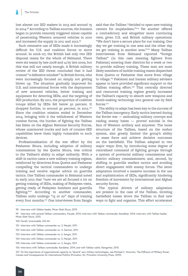lost almost 100 IED makers in 2013 and around 75 in 2014.98 According to Taliban sources, the Iranians began to provide remotely triggered mines capable of penetrating Western armored vehicles in 2010 and increased the supply in 2011 and 2012.99

Such extensive use of IEDs made it increasingly difficult for U.S. and coalition forces to move around. In 2006–07, the British had only two IED disposal teams for the whole of Helmand. There were six teams by late 2008 and 14 by late 2009, but this was still not nearly enough. A British military review of the IED threat concluded that it had created "a defensive mindset" in British forces, who were increasingly focused on simply not getting blown up. The situation gradually improved for U.S. and international forces with the deployment of new armored vehicles, better training and equipment for detecting IEDs, and the targeting of IED production. By 2011, the proportion of coalition troops killed by IEDs fell below 50 percent. It dropped further, to around 30 percent, in 2012.100 Since the coalition mission ended in December 2014, bringing with it the withdrawal of Western combat forces, the burden of fighting the Taliban has fallen on the Afghan National Security Forces, whose unarmored trucks and lack of counter-IED capabilities leave them highly vulnerable to such devices.

Professionalization of the war effort by the Peshawar Shura, including adoption of military commissions by the Quetta Shura, was critical to the Taliban's ability to adapt militarily. With a shift in tactics came a new military training regime, reinforced by directives from Quetta and Peshawar compelling the tactical commanders to undergo training and receive regular advice on guerrilla tactics. One Taliban commander in Helmand noted in early 2012 that "now we are all focused a lot on getting training of IEDs, making of Fedayeen vests, getting ready of Fedayeen bombers and guerrilla fighting."101 According to another commander, Taliban units undergo "15 or 20" days of training every four months.<sup>102</sup> One interviewee from Sangin said that the Taliban "decided to open new training centers for mujahedeen."103 Yet another offered a contradictory and altogether more convincing view, given U.S. and British military operations: "We don't have a secure place for our training. One day we get training in one area and the other day we get training in another area."<sup>104</sup> Many Taliban interviewees from Helmand reported "foreign Taliban" (in this case meaning fighters from Pakistan) entering their districts for a week or two to provide military training. These men are most likely members of mobile training teams dispatched from Quetta or Peshawar that move from village to village.105 Pakistani and Iranian military advisers appear to have provided significant support to the Taliban training effort.<sup>106</sup> This centrally directed and resourced training regime greatly increased the Taliban's capacity to absorb new weapons and bomb-making technology into general use by field forces.107

The ability to adapt has been key to the success of the Taliban insurgency. Early tactics learned during the Soviet war — ambushing military convoys and raiding enemy bases — proved suicidal in the face of Western artillery and airpower. The loose structure of the Taliban, based on the *mahaz* system, also greatly limited the group's ability to mass force and achieve decisive outcomes on the battlefield. The Taliban adapted in two major ways: first, by introducing some degree of centralized command of fighting groups through a system of provincial military commissions and district military commissioners; and, second, by shifting to guerrilla warfare tactics and avoiding direct engagement with enemy forces. The latter adaptation involved a massive increase in the use and sophistication of IEDs, significantly hindering freedom of movement by international and Afghan security forces.

The typical drivers of military adaptation are present in the case of the Taliban. Growing battlefield losses drove the Taliban to find new ways to fight and organize. This effort accelerated

- 102 Interview with Taliban commander no. 4, Garmsir, 2011.
- 103 Interview with Taliban commander no. 6, Sangin, 2011.

105 Interview with Taliban commander no. 3, Sangin, 2011.

<sup>98</sup> Interview with Taliban leader, Miran Shah Shura, 2015.

<sup>99</sup> Interview with several Taliban commanders, Faryab, 2014; interview with Taliban commander, Kandahar, 2014; interview with Taliban leader, Miran Shah Shura, 2015.

<sup>100</sup> Farrell, *Unwinnable*, 242-44.

<sup>101</sup> Interview with Taliban commander no. 3, Marjah, 2011.

<sup>104</sup> Interview with Taliban commander no. 5, Marjah, 2011.

<sup>106</sup> Interviews with Taliban commander, Kandahar, 2014; and with Taliban cadre, Nangarhar, 2015.

<sup>107</sup> On the importance of organizational capacity to "absorb" new military technologies, see Michael C. Horowitz, *The Diffusion of Military Power: Causes and Consequences for International Politics* (Princeton, NJ: Princeton University Press, 2010).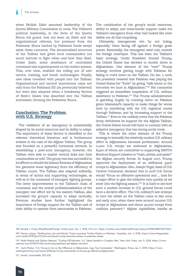when Mullah Zakir assumed leadership of the Quetta Military Commission in 2009. The Taliban's political leadership, in the form of the Quetta Shura old guard, was not keen on Zakir and his organizational reforms, but pressure from the Peshawar Shura backed by Pakistani funds swept aside these concerns. The decentralized structure of the Taliban had given local commanders too much latitude to fight when and how they liked. Under Zakir, some semblance of centralized command was superimposed on the *mahaz* system. This, over time, enabled the rolling out of new tactics, training, and bomb technologies. Finally, new ideas travelled with people into the Taliban: Organizational and tactical innovations came not only from the Pakistani ISI (as previously believed) but were also adopted when a breakaway faction of Hezb-i Islami was absorbed into the Taliban movement, forming the Peshawar Shura.

#### **Conclusion: The Problem with U.S. Strategy**

The resilience of an insurgency is substantially shaped by its social resources and its ability to adapt. The importance of these factors is identified in the relevant theoretical literature and is furthermore evident in the case of the Afghan Taliban. The group was founded on a powerful horizontal network. In establishing a post-2002 insurgency, however, the Taliban were able to exploit vertical links into host communities as well. The group was less successful in its efforts to rebuild the Islamic Emirate of Afghanistan but garnered some legitimacy from the efficiency of Taliban courts. The Taliban also adapted militarily, in terms of tactics and supporting technologies, as well as in the command of insurgent fighting groups. The latter improvements to the Taliban's chain of command, and the overall professionalization of the insurgent war effort led by the eastern Taliban, also increased the group's capacity to adapt tactically. Previous studies have further highlighted the importance of foreign support for the Taliban and of their ability to operate from sanctuaries in Pakistan.

The combination of the group's social resources, ability to adapt, and trans-border support make the Taliban's resurgence from what had looked like utter defeat not all that surprising.

Ultimately, insurgencies win by not losing, especially when facing off against a foreign great power. Essentially, the insurgents need only outwait the foreign interloper. This has been the Taliban's basic strategy. Under President Donald Trump, the United States has decided to double down in Afghanistan. One element of the "new" Trump strategy involves getting tough with Pakistan for failing to crack down on the Taliban. On Jan. 1, 2018, the president tweeted that Pakistan was playing the United States for "fools" by giving "safe haven to the terrorists we hunt in Afghanistan."<sup>108</sup> His comments triggered an immediate suspension of U.S. military assistance to Pakistan.<sup>109</sup> The Trump administration is gambling hugely by cracking down on Pakistan given Islamabad's capacity to make things far worse both by interfering with the U.S. logistical routes through Pakistan, and by increasing support to the Taliban.110 Even in the unlikely event that the Pakistan Army withdraws its support for the Afghan Taliban, the United States would still have to contend with an adaptive insurgency that has strong social roots.

This is where the other element of the Trump strategy to intensify the relatively modest U.S. military effort in Afghanistan becomes problematic. Around 11,000 U.S. troops are stationed in Afghanistan, 8,400 of whom are committed to supporting NATO's Resolute Support mission to "train, advise, and assist" the Afghan security forces. In August 2017, Trump approved the deployment of an additional 3,900 troops to Afghanistan. Gen. Joseph Vogel, head of U.S. Central Command, declared that in 2018 U.S. forces would "focus on offensive operations and ... look for a major effort to gain the initiative very quickly as we enter into the fighting season."<sup>111</sup> It is hard to see how such a modest increase in U.S. ground forces could have a decisive effect. The U.S. military's last attempt to turn the tables on the Taliban came in late 2009 and early 2010, when there were around 100,000 U.S. troops in Afghanistan and about 40,000 troops from coalition partners.112 Afghan capabilities, insofar as

111 Carlo Muñoz, "U.S. Forces to Go on the Offensive in Afghanistan, Says Top Commander," *Washington Times*, Jan. 2, 2018, https://www. washingtontimes.com/news/2018/jan/2/top-commander-us-forces-go-offensive-afghanistan/.

112 Farrell, *Unwinnable*, 292-324.

<sup>108</sup> Donald J. Trump (@realDonaldTrump), Twitter post, Jan. 1, 2018, 4:12 a.m., https://twitter.com/realDonaldTrump/status/947802588174577664.

<sup>109</sup> Haroon Janjua, "'Nothing but Lies and Deceit': Trump Launches Twitter Attack on Pakistan," *Guardian*, Jan. 2, 2018, https://www.theguardian. com/world/2018/jan/01/lies-and-deceit-trump-launches-attack-on-pakistan-tweet.

<sup>110</sup> Mujib Mashal and Salman Masood, "Cutting Off Pakistan, U.S. Takes Gamble in Complex War," *New York Times*, Jan. 5, 2018, https://www. nytimes.com/2018/01/05/world/asia/pakistan-aid-afghan-war.html.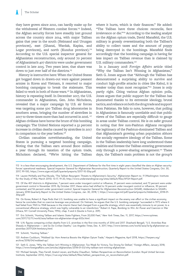they have grown since 2010, can hardly make up for the withdrawal of Western combat forces.<sup>113</sup> Indeed, the Afghan security forces have steadily lost ground across the country since 2014, with major Taliban gains that year in the south (Helmand and Uruzgan provinces), east (Ghanzi, Wardak, Kapisa, and Logar provinces), and north (Kunduz province).<sup>114</sup> According to the U.S. special inspector general for Afghanistan reconstruction, only around 70 percent of Afghanistan's 407 districts were under government control in late 2015. Two years later, that share was down to just over half of the districts.<sup>115</sup>

History is instructive here: When the United States got bogged down in drawn-out wars against peasant armies in Korea and Vietnam, it resorted to major bombing campaigns to break the stalemate. This failed to work in both of those wars.<sup>116</sup> In Afghanistan, history is repeating itself. In December 2017, the U.S. commander in Afghanistan, Gen. John Nicholson, revealed that a major campaign by U.S. air forces was targeting some 500 Taliban drug laboratories in southern areas, bringing the number of airstrikes in 2017 to three times more than had occurred in 2016.<sup>117</sup> Afghan civilians have borne the brunt of this bombing campaign: The United Nations reported a 52 percent increase in civilian deaths caused by airstrikes in 2017 in comparison to the year before.<sup>118</sup>

Civilian casualties notwithstanding, the United States is pursuing a targeted bombing campaign. Noting that the Taliban earn around \$200 million a year through its taxation of the opium trade, Nicholson declared, "We're hitting the Taliban where it hurts, which is their finances." He added: "The Taliban have three choices: reconcile, face irrelevance or die."119 According to the leading analyst on the Afghan opium trade, David Mansfeld, the U.S. military is grossly overestimating both the Taliban's ability to collect taxes and the amount of poppy being destroyed in the bombings. Mansfeld finds accordingly that the bombing campaign is having far less impact on Taliban revenue than is claimed by U.S. military commanders.<sup>120</sup>

In a January 2018 *Foreign Affairs* article titled "Why the Taliban Isn't Winning in Afghanistan," Seth G. Jones argues that "Although the Taliban has demonstrated a surprising ability to survive and conduct high-profile attacks in cities like Kabul, it is weaker today than most recognize."<sup>121</sup> Jones is only partly right. Citing various Afghan opinion polls, Jones argues that public support for the Taliban has plummeted thanks to its extremist ideology, brutal tactics, and reliance on both the drug trade and support from Pakistan. He fails to note, however, that polling in Afghanistan is famously unreliable and that public views of the Taliban are especially difficult to gauge in areas under Taliban control. He is on safer ground in noting that few non-Pashtun Afghans recognize the legitimacy of the Pashtun-dominated Taliban and that Afghanistan's growing urban population abhors the socially regressive ideology of the Taliban. Some in the Taliban leadership have long understood these realities and foresee the Taliban entering government only through a power-sharing arrangement.<sup>122</sup> These days, the Taliban's main problem is not the group's

117 Eric Schmitt, "Hunting Taliban and Islamic State Fighters, From 20,000 Feet," *New York Times*, Dec. 11, 2017, https://www.nytimes. com/2017/12/11/world/asia/taliban-isis-afghanistan-drugs-b52s.html.

118 U.N. figures comparing civilian deaths from U.S. airstrikes in the first nine months of 2016 and 2017. Shashank Bengali, "U.S. Airstrikes Rise Sharply in Afghanistan — and So Do Civilian Deaths," *Los Angeles Times*, Dec. 4, 2017, http://www.latimes.com/world/asia/la-fg-afghanistan-usairstrikes-20171204-htmlstory.html.

119 Schmitt, "Hunting Taliban."

120 Andrew Cockburn, "Mobbed Up: How America Boosts the Afghan Opium Trade," *Harper's Magazine*, April 2018, https://harpers.org/ archive/2018/04/mobbed-up/.

121 Seth G. Jones, "Why the Taliban Isn't Winning in Afghanistan: Too Weak for Victory, Too Strong for Defeat," *Foreign Affairs*, January 2018, https://www.foreignaffairs.com/articles/afghanistan/2018-01-03/why-taliban-isnt-winning-afghanistan.

122 Michael Semple, Theo Farrell, Anatol Lieven, and Rudra Chaudhuri, *Taliban Perspectives on Reconciliation* (London: Royal United Services Institute, September 2012), https://rusi.org/sites/default/files/taliban\_perspectives\_on\_reconciliation.pdf.

<sup>113</sup> In a less-than-encouraging development, the U.S. Department of Defense for the first time in eight years classified the data on Afghan security forces' operational readiness. Special Inspector General for Afghanistan Reconstruction, Quarterly Report to the United States Congress, Oct. 30, 2017, 99-100, https://www.sigar.mil/pdf/quarterlyreports/2017-10-30qr.pdf.

<sup>114</sup> Lauren McNally and Paul Bucala, "The Taliban Resurgent: Threats to Afghanistan's Security," *Afghanistan Report no. 11* (Washington: Institute for the Study of War, March 2015): 13-17, 19-20, http://www.understandingwar.org/sites/default/files/AFGH Report.pdf.

<sup>115</sup> Of the 407 districts in Afghanistan, 7 percent were under insurgent control or influence, 21 percent were contested, and 72 percent were under government control in November 2015. By October 2017, these ratios had shifted to 14 percent under insurgent control or influence, 30 percent contested, and 56 percent under government control. Special Inspector General for Afghanistan Reconstruction (SIGAR), Addendum to SIGAR's January 2018 Quarterly Report to the United States Congress, Jan. 30, 2018, 1, https://www.sigar.mil/pdf/quarterlyreports/Addendum\_2018-01- 30qr.pdf.

<sup>116</sup> On Korea, Robert A. Pape finds that U.S. bombing was unable to have a significant impact on the enemy war effort or the civilian economy, hence he concludes that no coercive leverage was produced. On Vietnam, he argues that the U.S. bombing campaign "succeeded in 1972 where it had failed from 1965 to 1968 because in the interim Hanoi had changed from a guerrilla strategy, which was essentially immune to air power, to a conventional offensive strategy, which was highly vulnerable to air interdiction." Robert A. Pape, *Bombing to Win: Air Power and Coercion in War* (Ithaca, NY: Cornell University Press, 1996), chap. 5 and 6 (Quote is from p. 209).